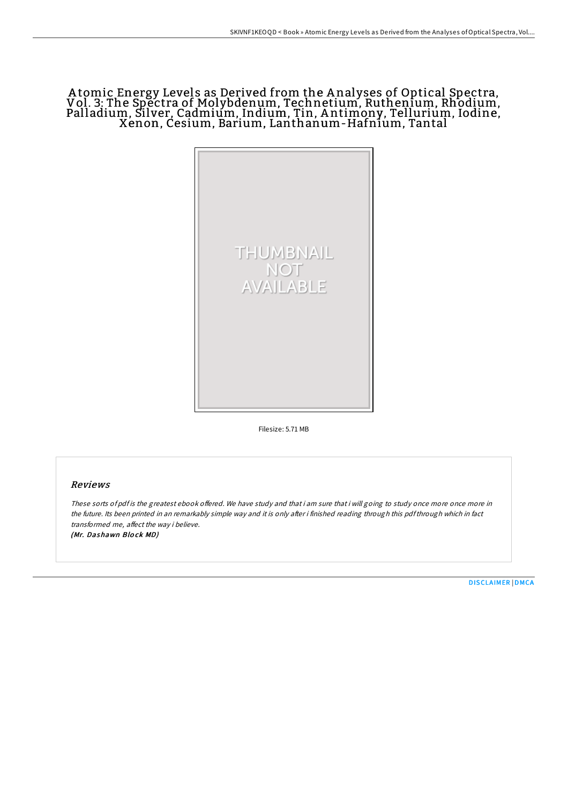# A tomic Energy Levels as Derived from the A nalyses of Optical Spectra, Vol. 3: The Spectra of Molybdenum, Technetium, Ruthenium, Rhodium, Palladium, Silver, Cadmium, Indium, Tin, A ntimony, Tellurium, Iodine, Xenon, Cesium, Barium, Lanthanum-Hafnium, Tantal



Filesize: 5.71 MB

### Reviews

These sorts of pdf is the greatest ebook offered. We have study and that i am sure that i will going to study once more once more in the future. Its been printed in an remarkably simple way and it is only after i finished reading through this pdfthrough which in fact transformed me, affect the way i believe. (Mr. Dashawn Blo ck MD)

[DISCLAIMER](http://almighty24.tech/disclaimer.html) | [DMCA](http://almighty24.tech/dmca.html)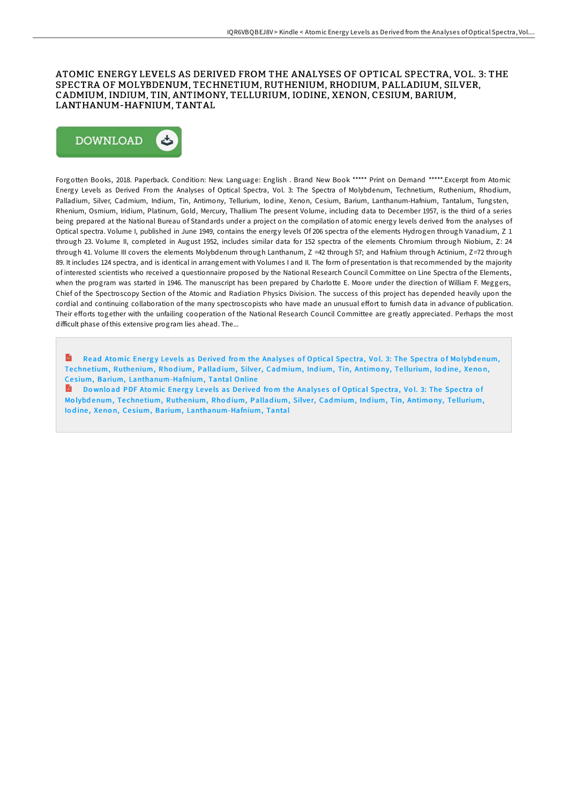## ATOMIC ENERGY LEVELS AS DERIVED FROM THE ANALYSES OF OPTICAL SPECTRA, VOL. 3: THE SPECTRA OF MOLYBDENUM, TECHNETIUM, RUTHENIUM, RHODIUM, PALLADIUM, SILVER, CADMIUM, INDIUM, TIN, ANTIMONY, TELLURIUM, IODINE, XENON, CESIUM, BARIUM, LANTHANUM-HAFNIUM, TANTAL



Forgotten Books, 2018. Paperback. Condition: New. Language: English . Brand New Book \*\*\*\*\* Print on Demand \*\*\*\*\*.Excerpt from Atomic Energy Levels as Derived From the Analyses of Optical Spectra, Vol. 3: The Spectra of Molybdenum, Technetium, Ruthenium, Rhodium, Palladium, Silver, Cadmium, Indium, Tin, Antimony, Tellurium, Iodine, Xenon, Cesium, Barium, Lanthanum-Hafnium, Tantalum, Tungsten, Rhenium, Osmium, Iridium, Platinum, Gold, Mercury, Thallium The present Volume, including data to December 1957, is the third of a series being prepared at the National Bureau of Standards under a project on the compilation of atomic energy levels derived from the analyses of Optical spectra. Volume I, published in June 1949, contains the energy levels Of 206 spectra of the elements Hydrogen through Vanadium, Z 1 through 23. Volume II, completed in August 1952, includes similar data for 152 spectra of the elements Chromium through Niobium, Z: 24 through 41. Volume III covers the elements Molybdenum through Lanthanum, Z = 42 through 57; and Hafnium through Actinium, Z=72 through 89. It includes 124 spectra, and is identical in arrangement with Volumes I and II. The form of presentation is that recommended by the majority of interested scientists who received a questionnaire proposed by the National Research Council Committee on Line Spectra of the Elements, when the program was started in 1946. The manuscript has been prepared by Charlotte E. Moore under the direction of William F. Meggers, Chief of the Spectroscopy Section of the Atomic and Radiation Physics Division. The success of this project has depended heavily upon the cordial and continuing collaboration of the many spectroscopists who have made an unusual effort to furnish data in advance of publication. Their efforts together with the unfailing cooperation of the National Research Council Committee are greatly appreciated. Perhaps the most difficult phase of this extensive program lies ahead. The...

Read Atomic Energy Levels as Derived from the Analyses of Optical Spectra, Vol. 3: The Spectra of Molybdenum, Technetium, Ruthenium, Rhodium, Palladium, Silver, Cadmium, Indium, Tin, Antimony, Tellurium, Iodine, Xenon, Cesium, Barium, [Lanthanum-Hafnium,](http://almighty24.tech/atomic-energy-levels-as-derived-from-the-analyse.html) Tantal Online

Do wnload PDF Atomic Energy Levels as Derived from the Analyses of Optical Spectra, Vol. 3: The Spectra of Molybdenum, Technetium, Ruthenium, Rhodium, Palladium, Silver, Cadmium, Indium, Tin, Antimony, Tellurium, Iodine, Xenon, Cesium, Barium, [Lanthanum-Hafnium,](http://almighty24.tech/atomic-energy-levels-as-derived-from-the-analyse.html) Tantal